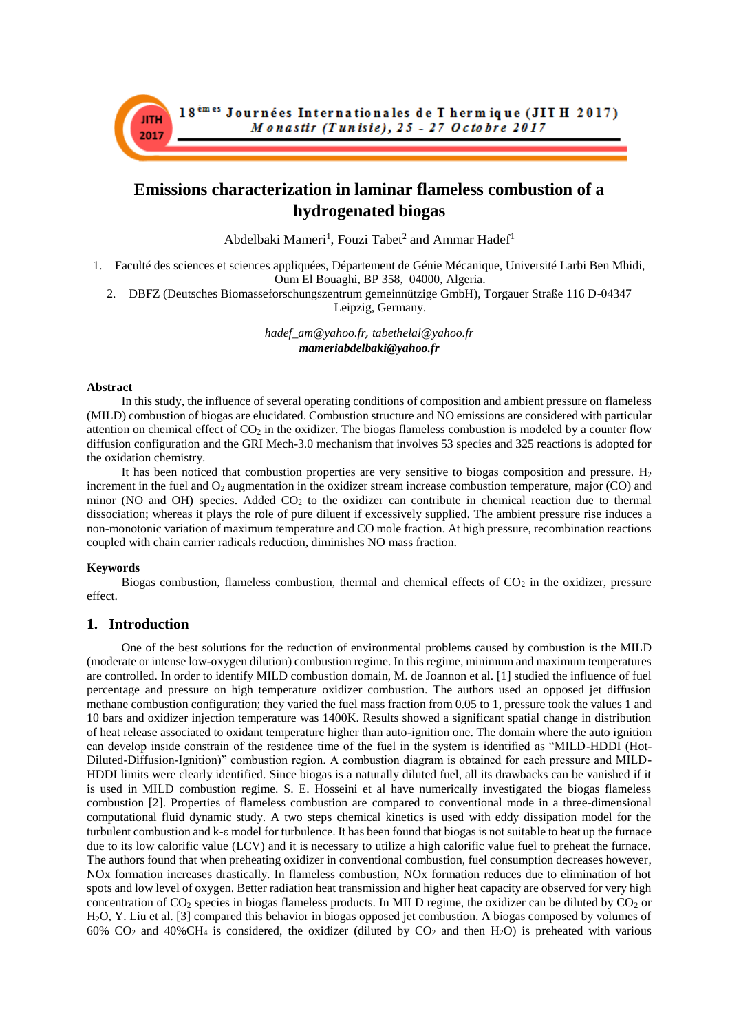# **Emissions characterization in laminar flameless combustion of a hydrogenated biogas**

Abdelbaki Mameri<sup>1</sup>, Fouzi Tabet<sup>2</sup> and Ammar Hadef<sup>1</sup>

- 1. Faculté des sciences et sciences appliquées, Département de Génie Mécanique, Université Larbi Ben Mhidi, Oum El Bouaghi, BP 358, 04000, Algeria.
	- 2. DBFZ (Deutsches Biomasseforschungszentrum gemeinnützige GmbH), Torgauer Straße 116 D-04347 Leipzig, Germany.

*hadef\_am@yahoo.fr, tabethelal@yahoo.fr mameriabdelbaki@yahoo.fr*

### **Abstract**

**JITH** 

2017

In this study, the influence of several operating conditions of composition and ambient pressure on flameless (MILD) combustion of biogas are elucidated. Combustion structure and NO emissions are considered with particular attention on chemical effect of  $CO<sub>2</sub>$  in the oxidizer. The biogas flameless combustion is modeled by a counter flow diffusion configuration and the GRI Mech-3.0 mechanism that involves 53 species and 325 reactions is adopted for the oxidation chemistry.

It has been noticed that combustion properties are very sensitive to biogas composition and pressure.  $H_2$ increment in the fuel and  $O_2$  augmentation in the oxidizer stream increase combustion temperature, major (CO) and minor (NO and OH) species. Added  $CO<sub>2</sub>$  to the oxidizer can contribute in chemical reaction due to thermal dissociation; whereas it plays the role of pure diluent if excessively supplied. The ambient pressure rise induces a non-monotonic variation of maximum temperature and CO mole fraction. At high pressure, recombination reactions coupled with chain carrier radicals reduction, diminishes NO mass fraction.

### **Keywords**

Biogas combustion, flameless combustion, thermal and chemical effects of  $CO<sub>2</sub>$  in the oxidizer, pressure effect.

## **1. Introduction**

One of the best solutions for the reduction of environmental problems caused by combustion is the MILD (moderate or intense low-oxygen dilution) combustion regime. In this regime, minimum and maximum temperatures are controlled. In order to identify MILD combustion domain, M. de Joannon et al. [1] studied the influence of fuel percentage and pressure on high temperature oxidizer combustion. The authors used an opposed jet diffusion methane combustion configuration; they varied the fuel mass fraction from 0.05 to 1, pressure took the values 1 and 10 bars and oxidizer injection temperature was 1400K. Results showed a significant spatial change in distribution of heat release associated to oxidant temperature higher than auto-ignition one. The domain where the auto ignition can develop inside constrain of the residence time of the fuel in the system is identified as "MILD-HDDI (Hot-Diluted-Diffusion-Ignition)" combustion region. A combustion diagram is obtained for each pressure and MILD-HDDI limits were clearly identified. Since biogas is a naturally diluted fuel, all its drawbacks can be vanished if it is used in MILD combustion regime. S. E. Hosseini et al have numerically investigated the biogas flameless combustion [2]. Properties of flameless combustion are compared to conventional mode in a three-dimensional computational fluid dynamic study. A two steps chemical kinetics is used with eddy dissipation model for the turbulent combustion and k- $\varepsilon$  model for turbulence. It has been found that biogas is not suitable to heat up the furnace due to its low calorific value (LCV) and it is necessary to utilize a high calorific value fuel to preheat the furnace. The authors found that when preheating oxidizer in conventional combustion, fuel consumption decreases however, NOx formation increases drastically. In flameless combustion, NOx formation reduces due to elimination of hot spots and low level of oxygen. Better radiation heat transmission and higher heat capacity are observed for very high concentration of  $CO_2$  species in biogas flameless products. In MILD regime, the oxidizer can be diluted by  $CO_2$  or H2O, Y. Liu et al. [3] compared this behavior in biogas opposed jet combustion. A biogas composed by volumes of 60%  $CO<sub>2</sub>$  and 40%CH<sub>4</sub> is considered, the oxidizer (diluted by  $CO<sub>2</sub>$  and then H<sub>2</sub>O) is preheated with various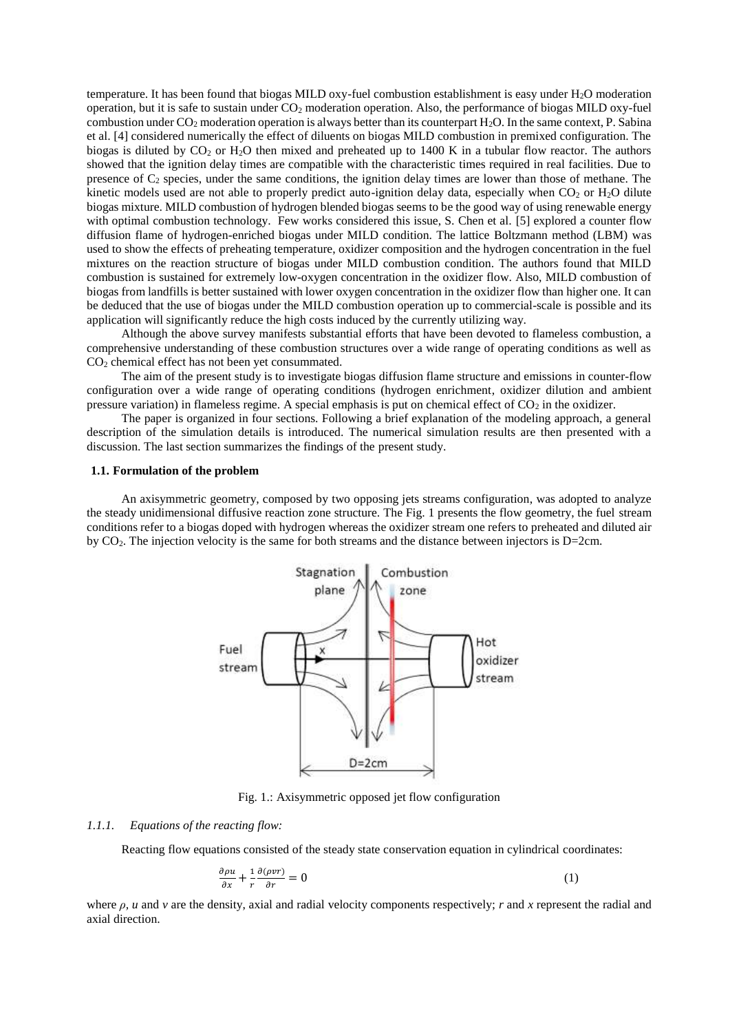temperature. It has been found that biogas MILD oxy-fuel combustion establishment is easy under H<sub>2</sub>O moderation operation, but it is safe to sustain under  $CO<sub>2</sub>$  moderation operation. Also, the performance of biogas MILD oxy-fuel combustion under  $CO_2$  moderation operation is always better than its counterpart  $H_2O$ . In the same context, P. Sabina et al. [4] considered numerically the effect of diluents on biogas MILD combustion in premixed configuration. The biogas is diluted by  $CO_2$  or  $H_2O$  then mixed and preheated up to 1400 K in a tubular flow reactor. The authors showed that the ignition delay times are compatible with the characteristic times required in real facilities. Due to presence of  $C_2$  species, under the same conditions, the ignition delay times are lower than those of methane. The kinetic models used are not able to properly predict auto-ignition delay data, especially when  $CO<sub>2</sub>$  or  $H<sub>2</sub>O$  dilute biogas mixture. MILD combustion of hydrogen blended biogas seems to be the good way of using renewable energy with optimal combustion technology. Few works considered this issue, S. Chen et al. [5] explored a counter flow diffusion flame of hydrogen-enriched biogas under MILD condition. The lattice Boltzmann method (LBM) was used to show the effects of preheating temperature, oxidizer composition and the hydrogen concentration in the fuel mixtures on the reaction structure of biogas under MILD combustion condition. The authors found that MILD combustion is sustained for extremely low-oxygen concentration in the oxidizer flow. Also, MILD combustion of biogas from landfills is better sustained with lower oxygen concentration in the oxidizer flow than higher one. It can be deduced that the use of biogas under the MILD combustion operation up to commercial-scale is possible and its application will significantly reduce the high costs induced by the currently utilizing way.

Although the above survey manifests substantial efforts that have been devoted to flameless combustion, a comprehensive understanding of these combustion structures over a wide range of operating conditions as well as  $CO<sub>2</sub>$  chemical effect has not been yet consummated.

The aim of the present study is to investigate biogas diffusion flame structure and emissions in counter-flow configuration over a wide range of operating conditions (hydrogen enrichment, oxidizer dilution and ambient pressure variation) in flameless regime. A special emphasis is put on chemical effect of  $CO<sub>2</sub>$  in the oxidizer.

The paper is organized in four sections. Following a brief explanation of the modeling approach, a general description of the simulation details is introduced. The numerical simulation results are then presented with a discussion. The last section summarizes the findings of the present study.

### **1.1. Formulation of the problem**

An axisymmetric geometry, composed by two opposing jets streams configuration, was adopted to analyze the steady unidimensional diffusive reaction zone structure. The Fig. 1 presents the flow geometry, the fuel stream conditions refer to a biogas doped with hydrogen whereas the oxidizer stream one refers to preheated and diluted air by CO2. The injection velocity is the same for both streams and the distance between injectors is D=2cm.



Fig. 1.: Axisymmetric opposed jet flow configuration

#### *1.1.1. Equations of the reacting flow:*

Reacting flow equations consisted of the steady state conservation equation in cylindrical coordinates:

$$
\frac{\partial \rho u}{\partial x} + \frac{1}{r} \frac{\partial (\rho v r)}{\partial r} = 0 \tag{1}
$$

where *ρ, u* and *v* are the density, axial and radial velocity components respectively; *r* and *x* represent the radial and axial direction.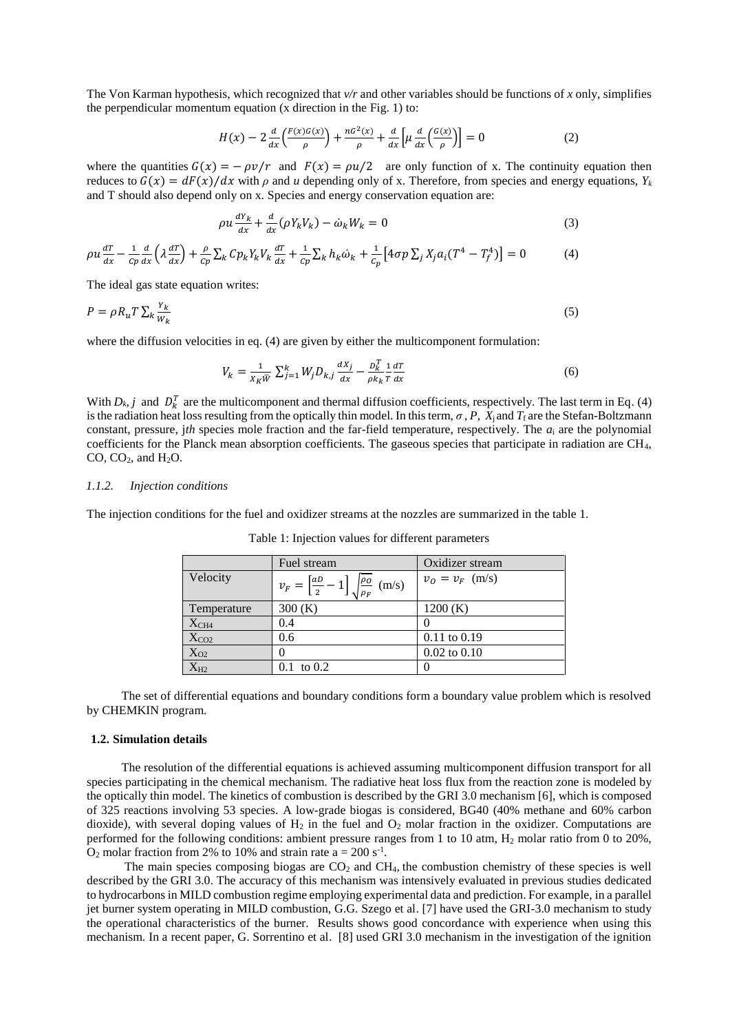The Von Karman hypothesis, which recognized that *v/r* and other variables should be functions of *x* only, simplifies the perpendicular momentum equation (x direction in the Fig. 1) to:

$$
H(x) - 2\frac{d}{dx}\left(\frac{F(x)G(x)}{\rho}\right) + \frac{nG^2(x)}{\rho} + \frac{d}{dx}\left[\mu\frac{d}{dx}\left(\frac{G(x)}{\rho}\right)\right] = 0\tag{2}
$$

where the quantities  $G(x) = -\rho v/r$  and  $F(x) = \rho u/2$  are only function of x. The continuity equation then reduces to  $G(x) = dF(x)/dx$  with  $\rho$  and *u* depending only of x. Therefore, from species and energy equations,  $Y_k$ and T should also depend only on x. Species and energy conservation equation are:

$$
\rho u \frac{dY_k}{dx} + \frac{d}{dx} (\rho Y_k V_k) - \dot{\omega}_k W_k = 0
$$
\n(3)

$$
\rho u \frac{dT}{dx} - \frac{1}{c_p} \frac{d}{dx} \left( \lambda \frac{dT}{dx} \right) + \frac{\rho}{c_p} \sum_k C p_k Y_k V_k \frac{dT}{dx} + \frac{1}{c_p} \sum_k h_k \dot{\omega}_k + \frac{1}{c_p} \left[ 4 \sigma p \sum_j X_j a_i (T^4 - T_f^4) \right] = 0 \tag{4}
$$

The ideal gas state equation writes:

$$
P = \rho R_u T \sum_k \frac{Y_k}{W_k} \tag{5}
$$

where the diffusion velocities in eq. (4) are given by either the multicomponent formulation:

$$
V_k = \frac{1}{X_K \overline{W}} \sum_{j=1}^k W_j D_{k,j} \frac{dX_j}{dx} - \frac{D_k^T}{\rho k_k} \frac{1}{T} \frac{dT}{dx}
$$
(6)

With  $D_k$ , *j* and  $D_k^T$  are the multicomponent and thermal diffusion coefficients, respectively. The last term in Eq. [\(4\)](http://jullio.pe.kr/fluent6.1/help/html/ug/node566.htm#eq-T-f-space) is the radiation heat loss resulting from the optically thin model. In this term,  $\sigma$ ,  $P$ ,  $X_i$  and  $T_f$  are the Stefan-Boltzmann constant, pressure, j*th* species mole fraction and the far-field temperature, respectively. The *a*<sup>i</sup> are the polynomial coefficients for the Planck mean absorption coefficients. The gaseous species that participate in radiation are CH4, CO,  $CO<sub>2</sub>$ , and  $H<sub>2</sub>O$ .

#### *1.1.2. Injection conditions*

The injection conditions for the fuel and oxidizer streams at the nozzles are summarized in the table 1.

|                  | Fuel stream                                                                 | Oxidizer stream   |
|------------------|-----------------------------------------------------------------------------|-------------------|
| Velocity         | $v_F = \left[\frac{aD}{2} - 1\right] \sqrt{\frac{\rho_O}{\rho_F}}$<br>(m/s) | $v_0 = v_F$ (m/s) |
| Temperature      | 300(K)                                                                      | 1200(K)           |
| X <sub>CH4</sub> | 0.4                                                                         | $\mathcal{L}$     |
| $X_{CO2}$        | 0.6                                                                         | $0.11$ to $0.19$  |
| $X_{O2}$         | $\mathbf{0}$                                                                | $0.02$ to $0.10$  |
| $X_{H2}$         | $0.1 \text{ to } 0.2$                                                       | 0                 |

Table 1: Injection values for different parameters

The set of differential equations and boundary conditions form a boundary value problem which is resolved by CHEMKIN program.

#### **1.2. Simulation details**

The resolution of the differential equations is achieved assuming multicomponent diffusion transport for all species participating in the chemical mechanism. The radiative heat loss flux from the reaction zone is modeled by the optically thin model. The kinetics of combustion is described by the GRI 3.0 mechanism [6], which is composed of 325 reactions involving 53 species. A low-grade biogas is considered, BG40 (40% methane and 60% carbon dioxide), with several doping values of  $H_2$  in the fuel and  $O_2$  molar fraction in the oxidizer. Computations are performed for the following conditions: ambient pressure ranges from 1 to 10 atm, H<sup>2</sup> molar ratio from 0 to 20%,  $O_2$  molar fraction from 2% to 10% and strain rate  $a = 200 s^{-1}$ .

The main species composing biogas are  $CO<sub>2</sub>$  and  $CH<sub>4</sub>$ , the combustion chemistry of these species is well described by the GRI 3.0. The accuracy of this mechanism was intensively evaluated in previous studies dedicated to hydrocarbons in MILD combustion regime employing experimental data and prediction. For example, in a parallel jet burner system operating in MILD combustion, G.G. Szego et al. [7] have used the GRI-3.0 mechanism to study the operational characteristics of the burner. Results shows good concordance with experience when using this mechanism. In a recent paper, G. Sorrentino et al. [8] used GRI 3.0 mechanism in the investigation of the ignition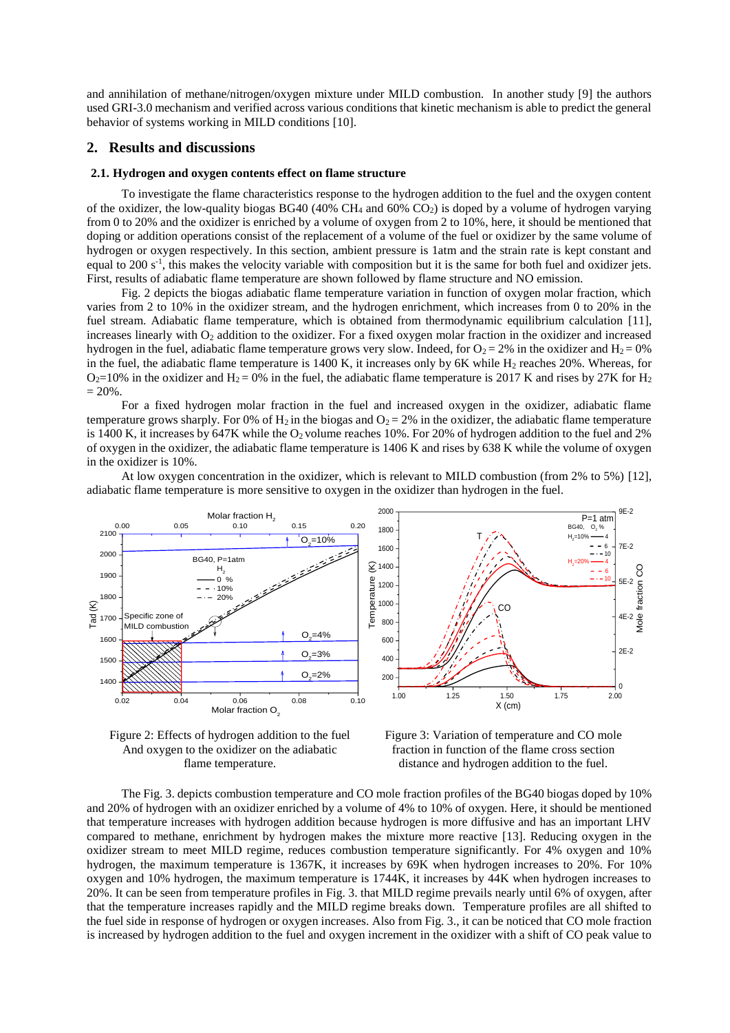and annihilation of methane/nitrogen/oxygen mixture under MILD combustion. In another study [9] the authors used GRI-3.0 mechanism and verified across various conditions that kinetic mechanism is able to predict the general behavior of systems working in MILD conditions [10].

## **2. Results and discussions**

#### **2.1. Hydrogen and oxygen contents effect on flame structure**

To investigate the flame characteristics response to the hydrogen addition to the fuel and the oxygen content of the oxidizer, the low-quality biogas BG40 (40%  $CH_4$  and 60%  $CO_2$ ) is doped by a volume of hydrogen varying from 0 to 20% and the oxidizer is enriched by a volume of oxygen from 2 to 10%, here, it should be mentioned that doping or addition operations consist of the replacement of a volume of the fuel or oxidizer by the same volume of hydrogen or oxygen respectively. In this section, ambient pressure is 1atm and the strain rate is kept constant and equal to 200 s<sup>-1</sup>, this makes the velocity variable with composition but it is the same for both fuel and oxidizer jets. First, results of adiabatic flame temperature are shown followed by flame structure and NO emission.

Fig. 2 depicts the biogas adiabatic flame temperature variation in function of oxygen molar fraction, which varies from 2 to 10% in the oxidizer stream, and the hydrogen enrichment, which increases from 0 to 20% in the fuel stream. Adiabatic flame temperature, which is obtained from thermodynamic equilibrium calculation [11], increases linearly with O<sub>2</sub> addition to the oxidizer. For a fixed oxygen molar fraction in the oxidizer and increased hydrogen in the fuel, adiabatic flame temperature grows very slow. Indeed, for  $O_2 = 2\%$  in the oxidizer and  $H_2 = 0\%$ in the fuel, the adiabatic flame temperature is  $1400$  K, it increases only by 6K while H<sub>2</sub> reaches  $20\%$ . Whereas, for  $O_2$ =10% in the oxidizer and H<sub>2</sub> = 0% in the fuel, the adiabatic flame temperature is 2017 K and rises by 27K for H<sub>2</sub>  $= 20\%$ .

For a fixed hydrogen molar fraction in the fuel and increased oxygen in the oxidizer, adiabatic flame temperature grows sharply. For 0% of H<sub>2</sub> in the biogas and  $O_2 = 2\%$  in the oxidizer, the adiabatic flame temperature is 1400 K, it increases by 647K while the  $O_2$  volume reaches 10%. For 20% of hydrogen addition to the fuel and 2% of oxygen in the oxidizer, the adiabatic flame temperature is 1406 K and rises by 638 K while the volume of oxygen in the oxidizer is 10%.

At low oxygen concentration in the oxidizer, which is relevant to MILD combustion (from 2% to 5%) [12], adiabatic flame temperature is more sensitive to oxygen in the oxidizer than hydrogen in the fuel.



Figure 2: Effects of hydrogen addition to the fuel And oxygen to the oxidizer on the adiabatic flame temperature.

Figure 3: Variation of temperature and CO mole fraction in function of the flame cross section distance and hydrogen addition to the fuel.

Mole fraction CO

The Fig. 3. depicts combustion temperature and CO mole fraction profiles of the BG40 biogas doped by 10% and 20% of hydrogen with an oxidizer enriched by a volume of 4% to 10% of oxygen. Here, it should be mentioned that temperature increases with hydrogen addition because hydrogen is more diffusive and has an important LHV compared to methane, enrichment by hydrogen makes the mixture more reactive [13]. Reducing oxygen in the oxidizer stream to meet MILD regime, reduces combustion temperature significantly. For 4% oxygen and 10% hydrogen, the maximum temperature is 1367K, it increases by 69K when hydrogen increases to 20%. For 10% oxygen and 10% hydrogen, the maximum temperature is 1744K, it increases by 44K when hydrogen increases to 20%. It can be seen from temperature profiles in Fig. 3. that MILD regime prevails nearly until 6% of oxygen, after that the temperature increases rapidly and the MILD regime breaks down. Temperature profiles are all shifted to the fuel side in response of hydrogen or oxygen increases. Also from Fig. 3., it can be noticed that CO mole fraction is increased by hydrogen addition to the fuel and oxygen increment in the oxidizer with a shift of CO peak value to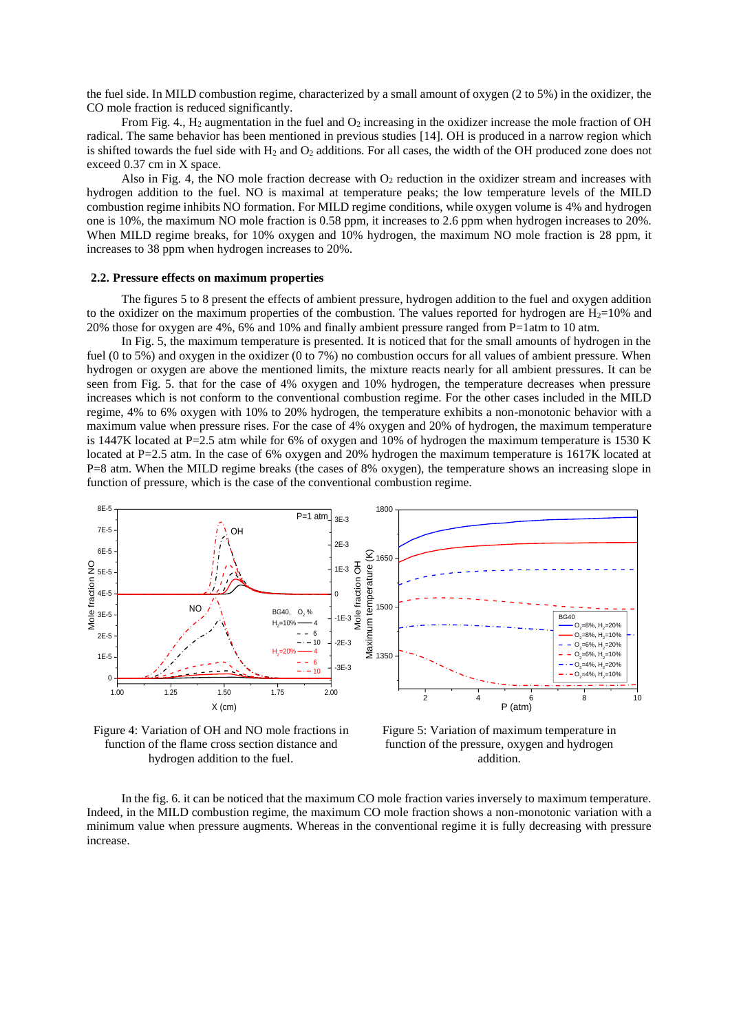the fuel side. In MILD combustion regime, characterized by a small amount of oxygen (2 to 5%) in the oxidizer, the CO mole fraction is reduced significantly.

From Fig. 4.,  $H_2$  augmentation in the fuel and  $O_2$  increasing in the oxidizer increase the mole fraction of OH radical. The same behavior has been mentioned in previous studies [14]. OH is produced in a narrow region which is shifted towards the fuel side with  $H_2$  and  $O_2$  additions. For all cases, the width of the OH produced zone does not exceed 0.37 cm in X space.

Also in Fig. 4, the NO mole fraction decrease with  $O_2$  reduction in the oxidizer stream and increases with hydrogen addition to the fuel. NO is maximal at temperature peaks; the low temperature levels of the MILD combustion regime inhibits NO formation. For MILD regime conditions, while oxygen volume is 4% and hydrogen one is 10%, the maximum NO mole fraction is 0.58 ppm, it increases to 2.6 ppm when hydrogen increases to 20%. When MILD regime breaks, for 10% oxygen and 10% hydrogen, the maximum NO mole fraction is 28 ppm, it increases to 38 ppm when hydrogen increases to 20%.

#### **2.2. Pressure effects on maximum properties**

The figures 5 to 8 present the effects of ambient pressure, hydrogen addition to the fuel and oxygen addition to the oxidizer on the maximum properties of the combustion. The values reported for hydrogen are  $H_2=10\%$  and 20% those for oxygen are 4%, 6% and 10% and finally ambient pressure ranged from P=1atm to 10 atm.

In Fig. 5, the maximum temperature is presented. It is noticed that for the small amounts of hydrogen in the fuel (0 to 5%) and oxygen in the oxidizer (0 to 7%) no combustion occurs for all values of ambient pressure. When hydrogen or oxygen are above the mentioned limits, the mixture reacts nearly for all ambient pressures. It can be seen from Fig. 5. that for the case of 4% oxygen and 10% hydrogen, the temperature decreases when pressure increases which is not conform to the conventional combustion regime. For the other cases included in the MILD regime, 4% to 6% oxygen with 10% to 20% hydrogen, the temperature exhibits a non-monotonic behavior with a maximum value when pressure rises. For the case of 4% oxygen and 20% of hydrogen, the maximum temperature is 1447K located at P=2.5 atm while for 6% of oxygen and 10% of hydrogen the maximum temperature is 1530 K located at P=2.5 atm. In the case of 6% oxygen and 20% hydrogen the maximum temperature is 1617K located at P=8 atm. When the MILD regime breaks (the cases of 8% oxygen), the temperature shows an increasing slope in function of pressure, which is the case of the conventional combustion regime.



Figure 4: Variation of OH and NO mole fractions in function of the flame cross section distance and hydrogen addition to the fuel.

Figure 5: Variation of maximum temperature in function of the pressure, oxygen and hydrogen addition.

In the fig. 6. it can be noticed that the maximum CO mole fraction varies inversely to maximum temperature. Indeed, in the MILD combustion regime, the maximum CO mole fraction shows a non-monotonic variation with a minimum value when pressure augments. Whereas in the conventional regime it is fully decreasing with pressure increase.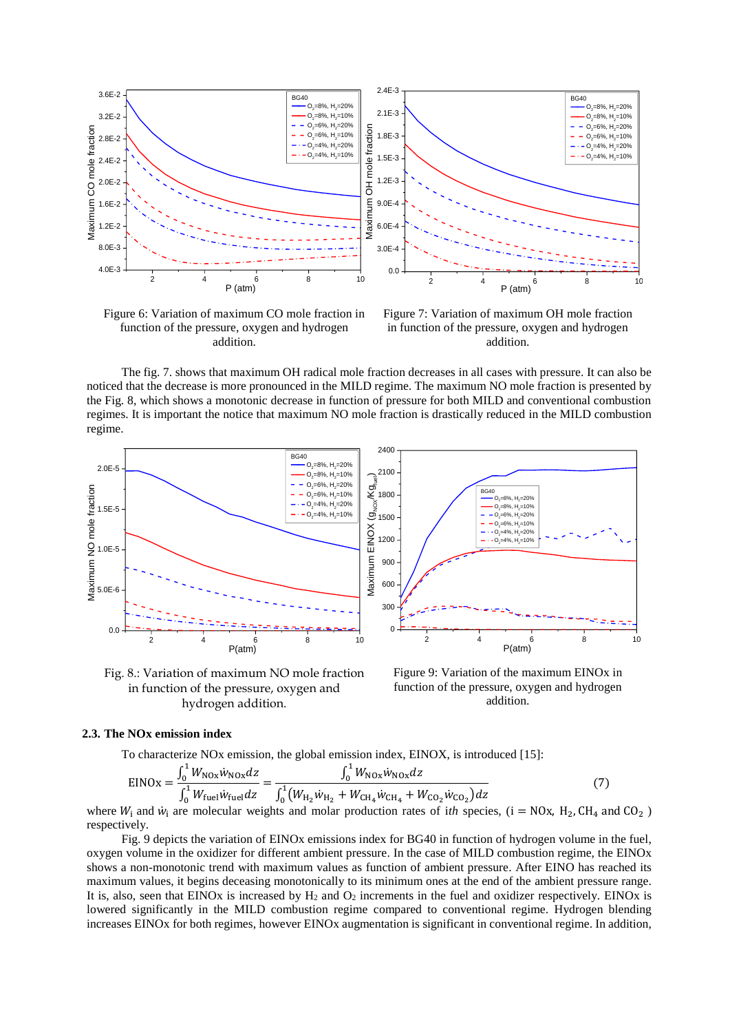

Figure 6: Variation of maximum CO mole fraction in function of the pressure, oxygen and hydrogen addition.

Figure 7: Variation of maximum OH mole fraction in function of the pressure, oxygen and hydrogen addition.

The fig. 7. shows that maximum OH radical mole fraction decreases in all cases with pressure. It can also be noticed that the decrease is more pronounced in the MILD regime. The maximum NO mole fraction is presented by the Fig. 8, which shows a monotonic decrease in function of pressure for both MILD and conventional combustion regimes. It is important the notice that maximum NO mole fraction is drastically reduced in the MILD combustion regime.



Fig. 8.: Variation of maximum NO mole fraction in function of the pressure, oxygen and hydrogen addition.

Figure 9: Variation of the maximum EINOx in function of the pressure, oxygen and hydrogen addition.

## **2.3. The NOx emission index**

To characterize NOx emission, the global emission index, EINOX, is introduced [15]:

$$
EINOx = \frac{\int_0^1 W_{NOx} \dot{w}_{NOx} dz}{\int_0^1 W_{\text{fuel}} \dot{w}_{\text{fuel}} dz} = \frac{\int_0^1 W_{NOx} \dot{w}_{NOx} dz}{\int_0^1 (W_{H_2} \dot{w}_{H_2} + W_{\text{CH}_4} \dot{w}_{\text{CH}_4} + W_{\text{CO}_2} \dot{w}_{\text{CO}_2}) dz}
$$
(7)

where  $W_i$  and  $\dot{w}_i$  are molecular weights and molar production rates of *ith* species, (i = NOx, H<sub>2</sub>, CH<sub>4</sub> and CO<sub>2</sub>) respectively.

Fig. 9 depicts the variation of EINOx emissions index for BG40 in function of hydrogen volume in the fuel, oxygen volume in the oxidizer for different ambient pressure. In the case of MILD combustion regime, the EINOx shows a non-monotonic trend with maximum values as function of ambient pressure. After EINO has reached its maximum values, it begins deceasing monotonically to its minimum ones at the end of the ambient pressure range. It is, also, seen that EINOx is increased by  $H_2$  and  $O_2$  increments in the fuel and oxidizer respectively. EINOx is lowered significantly in the MILD combustion regime compared to conventional regime. Hydrogen blending increases EINOx for both regimes, however EINOx augmentation is significant in conventional regime. In addition,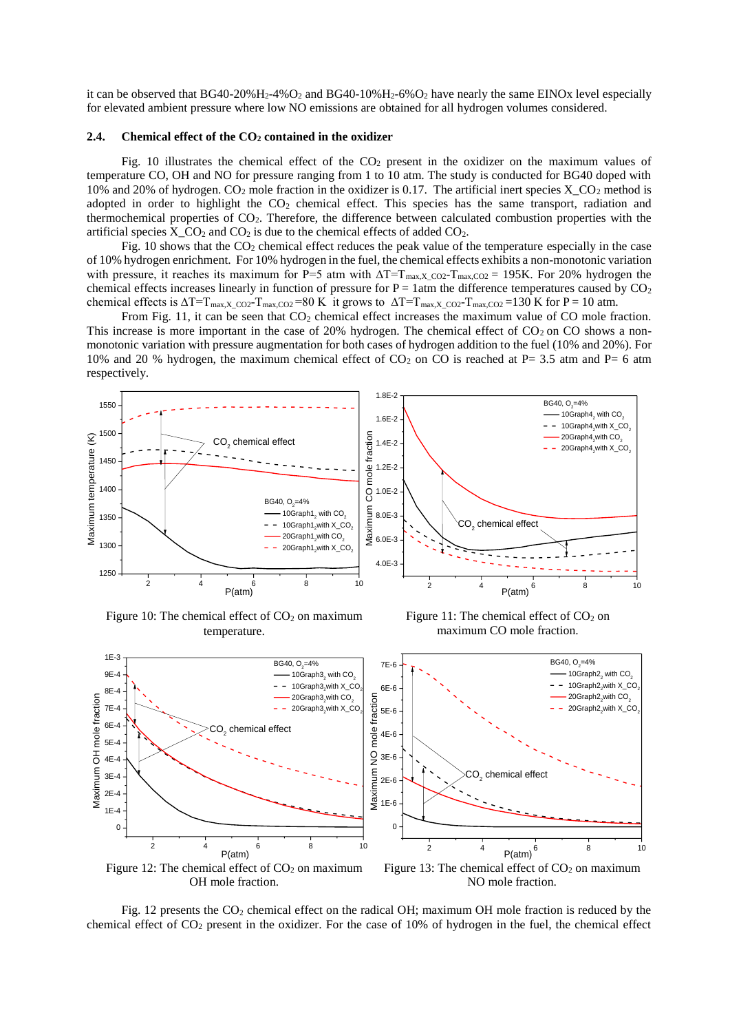it can be observed that  $BG40-20\%H_2-4\%O_2$  and  $BG40-10\%H_2-6\%O_2$  have nearly the same EINOx level especially for elevated ambient pressure where low NO emissions are obtained for all hydrogen volumes considered.

#### **2.4. Chemical effect of the CO<sup>2</sup> contained in the oxidizer**

Fig. 10 illustrates the chemical effect of the  $CO<sub>2</sub>$  present in the oxidizer on the maximum values of temperature CO, OH and NO for pressure ranging from 1 to 10 atm. The study is conducted for BG40 doped with 10% and 20% of hydrogen.  $CO_2$  mole fraction in the oxidizer is 0.17. The artificial inert species X  $CO_2$  method is adopted in order to highlight the  $CO<sub>2</sub>$  chemical effect. This species has the same transport, radiation and thermochemical properties of CO2. Therefore, the difference between calculated combustion properties with the artificial species  $X_CO_2$  and  $CO_2$  is due to the chemical effects of added  $CO_2$ .

Fig. 10 shows that the  $CO<sub>2</sub>$  chemical effect reduces the peak value of the temperature especially in the case of 10% hydrogen enrichment. For 10% hydrogen in the fuel, the chemical effects exhibits a non-monotonic variation with pressure, it reaches its maximum for P=5 atm with  $\Delta T=T_{\rm max, X_{\rm CO2}}-T_{\rm max, CO2} = 195$ K. For 20% hydrogen the chemical effects increases linearly in function of pressure for  $P = 1$ atm the difference temperatures caused by  $CO<sub>2</sub>$ chemical effects is  $\Delta T=T_{\rm max,X~CO2}-T_{\rm max,CO2} =80$  K it grows to  $\Delta T=T_{\rm max,X~CO2}-T_{\rm max,CO2} =130$  K for P = 10 atm.

From Fig. 11, it can be seen that  $CO<sub>2</sub>$  chemical effect increases the maximum value of CO mole fraction. This increase is more important in the case of 20% hydrogen. The chemical effect of  $CO<sub>2</sub>$  on CO shows a nonmonotonic variation with pressure augmentation for both cases of hydrogen addition to the fuel (10% and 20%). For 10% and 20 % hydrogen, the maximum chemical effect of  $CO_2$  on CO is reached at P= 3.5 atm and P= 6 atm respectively.



Figure 10: The chemical effect of  $CO<sub>2</sub>$  on maximum temperature.

Figure 11: The chemical effect of  $CO<sub>2</sub>$  on maximum CO mole fraction.



Fig. 12 presents the  $CO<sub>2</sub>$  chemical effect on the radical OH; maximum OH mole fraction is reduced by the chemical effect of  $CO_2$  present in the oxidizer. For the case of 10% of hydrogen in the fuel, the chemical effect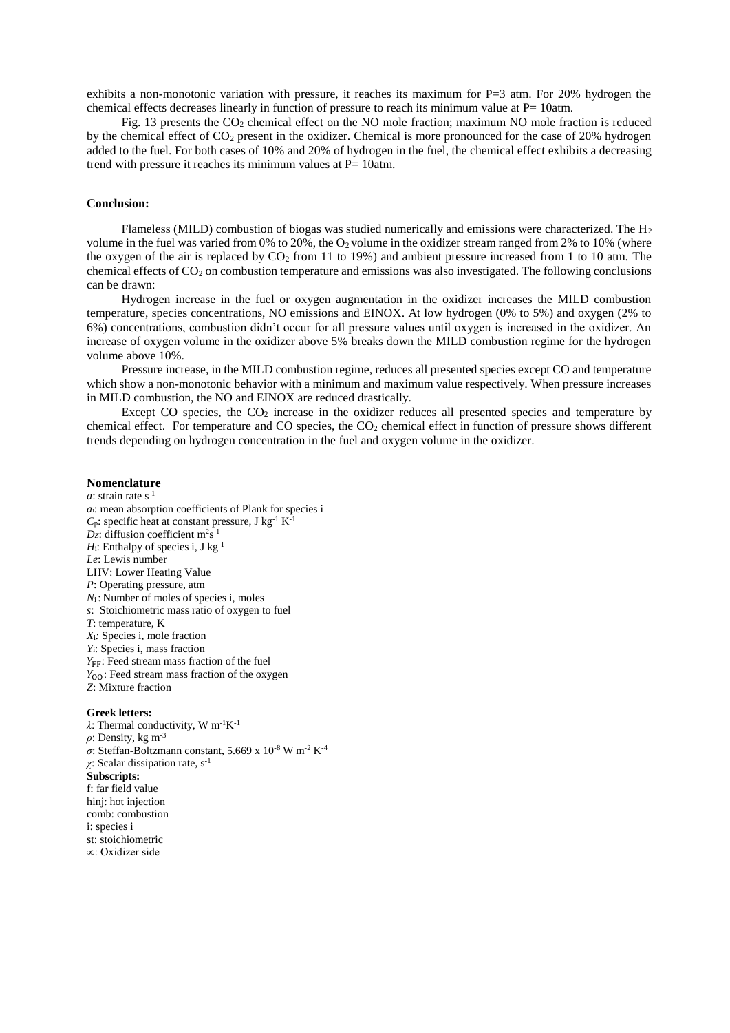exhibits a non-monotonic variation with pressure, it reaches its maximum for P=3 atm. For 20% hydrogen the chemical effects decreases linearly in function of pressure to reach its minimum value at  $P= 10$ atm.

Fig. 13 presents the  $CO<sub>2</sub>$  chemical effect on the NO mole fraction; maximum NO mole fraction is reduced by the chemical effect of CO<sub>2</sub> present in the oxidizer. Chemical is more pronounced for the case of 20% hydrogen added to the fuel. For both cases of 10% and 20% of hydrogen in the fuel, the chemical effect exhibits a decreasing trend with pressure it reaches its minimum values at  $P= 10$ atm.

#### **Conclusion:**

Flameless (MILD) combustion of biogas was studied numerically and emissions were characterized. The  $H_2$ volume in the fuel was varied from 0% to 20%, the  $O_2$  volume in the oxidizer stream ranged from 2% to 10% (where the oxygen of the air is replaced by  $CO_2$  from 11 to 19%) and ambient pressure increased from 1 to 10 atm. The chemical effects of  $CO<sub>2</sub>$  on combustion temperature and emissions was also investigated. The following conclusions can be drawn:

Hydrogen increase in the fuel or oxygen augmentation in the oxidizer increases the MILD combustion temperature, species concentrations, NO emissions and EINOX. At low hydrogen (0% to 5%) and oxygen (2% to 6%) concentrations, combustion didn't occur for all pressure values until oxygen is increased in the oxidizer. An increase of oxygen volume in the oxidizer above 5% breaks down the MILD combustion regime for the hydrogen volume above 10%.

Pressure increase, in the MILD combustion regime, reduces all presented species except CO and temperature which show a non-monotonic behavior with a minimum and maximum value respectively. When pressure increases in MILD combustion, the NO and EINOX are reduced drastically.

Except CO species, the  $CO<sub>2</sub>$  increase in the oxidizer reduces all presented species and temperature by chemical effect. For temperature and CO species, the  $CO<sub>2</sub>$  chemical effect in function of pressure shows different trends depending on hydrogen concentration in the fuel and oxygen volume in the oxidizer.

#### **Nomenclature**

*a*: strain rate  $s^{-1}$ *a*i: mean absorption coefficients of Plank for species i  $C_p$ : specific heat at constant pressure, J kg<sup>-1</sup> K<sup>-1</sup>  $Dz$ : diffusion coefficient m<sup>2</sup>s<sup>-1</sup>  $H_i$ : Enthalpy of species i, J kg<sup>-1</sup> *Le*: Lewis number LHV: Lower Heating Value *P*: Operating pressure, atm *N*<sub>i</sub>: Number of moles of species *i*, moles *s*: Stoichiometric mass ratio of oxygen to fuel *T*: temperature, K *X*i*:* Species i, mole fraction *Y*i: Species i, mass fraction  $Y_{FF}$ : Feed stream mass fraction of the fuel  $Y_{OO}$ : Feed stream mass fraction of the oxygen *Z*: Mixture fraction

#### **Greek letters:**

*λ*: Thermal conductivity, W m-1K-1 *ρ*: Density, kg m-3  $\sigma$ : Steffan-Boltzmann constant, 5.669 x 10<sup>-8</sup> W m<sup>-2</sup> K<sup>-4</sup> *χ*: Scalar dissipation rate, s-1 **Subscripts:** f: far field value hinj: hot injection comb: combustion i: species i st: stoichiometric ∞: Oxidizer side